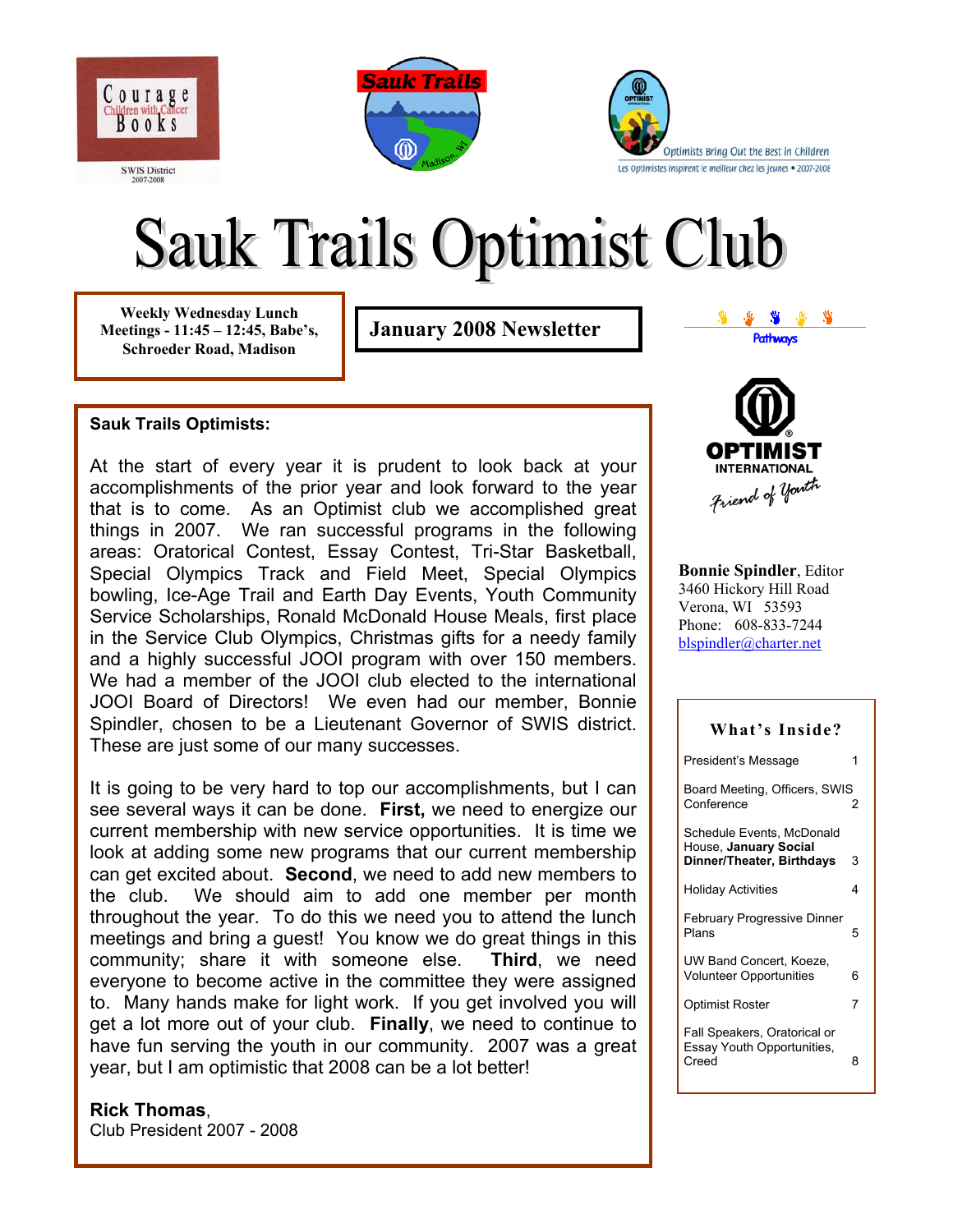





# **Sauk Trails Optimist Club**

**Weekly Wednesday Lunch Meetings - 11:45 – 12:45, Babe's, Schroeder Road, Madison** 

**January 2008 Newsletter Pathways** 

#### **Sauk Trails Optimists:**

At the start of every year it is prudent to look back at your accomplishments of the prior year and look forward to the year that is to come. As an Optimist club we accomplished great things in 2007. We ran successful programs in the following areas: Oratorical Contest, Essay Contest, Tri-Star Basketball, Special Olympics Track and Field Meet, Special Olympics bowling, Ice-Age Trail and Earth Day Events, Youth Community Service Scholarships, Ronald McDonald House Meals, first place in the Service Club Olympics, Christmas gifts for a needy family and a highly successful JOOI program with over 150 members. We had a member of the JOOI club elected to the international JOOI Board of Directors! We even had our member, Bonnie Spindler, chosen to be a Lieutenant Governor of SWIS district. These are just some of our many successes.

It is going to be very hard to top our accomplishments, but I can see several ways it can be done. **First,** we need to energize our current membership with new service opportunities. It is time we look at adding some new programs that our current membership can get excited about. **Second**, we need to add new members to the club. We should aim to add one member per month throughout the year. To do this we need you to attend the lunch meetings and bring a guest! You know we do great things in this community; share it with someone else. **Third**, we need everyone to become active in the committee they were assigned to. Many hands make for light work. If you get involved you will get a lot more out of your club. **Finally**, we need to continue to have fun serving the youth in our community. 2007 was a great year, but I am optimistic that 2008 can be a lot better!

#### **Rick Thomas**,

Club President 2007 - 2008

**INTERNATIONAL** Friend of youth

**Bonnie Spindler**, Editor 3460 Hickory Hill Road Verona, WI 53593 Phone: 608-833-7244 [blspindler@charter.net](mailto:blspindler@charter.net)

# **What's Inside?**  President's Message 1 Board Meeting, Officers, SWIS Conference Schedule Events, McDonald

House, **January Social Dinner/Theater, Birthdays** 3 Holiday Activities 4 February Progressive Dinner Plans 5 UW Band Concert, Koeze, Volunteer Opportunities 6 Optimist Roster 7 Fall Speakers, Oratorical or Essay Youth Opportunities, Creed 8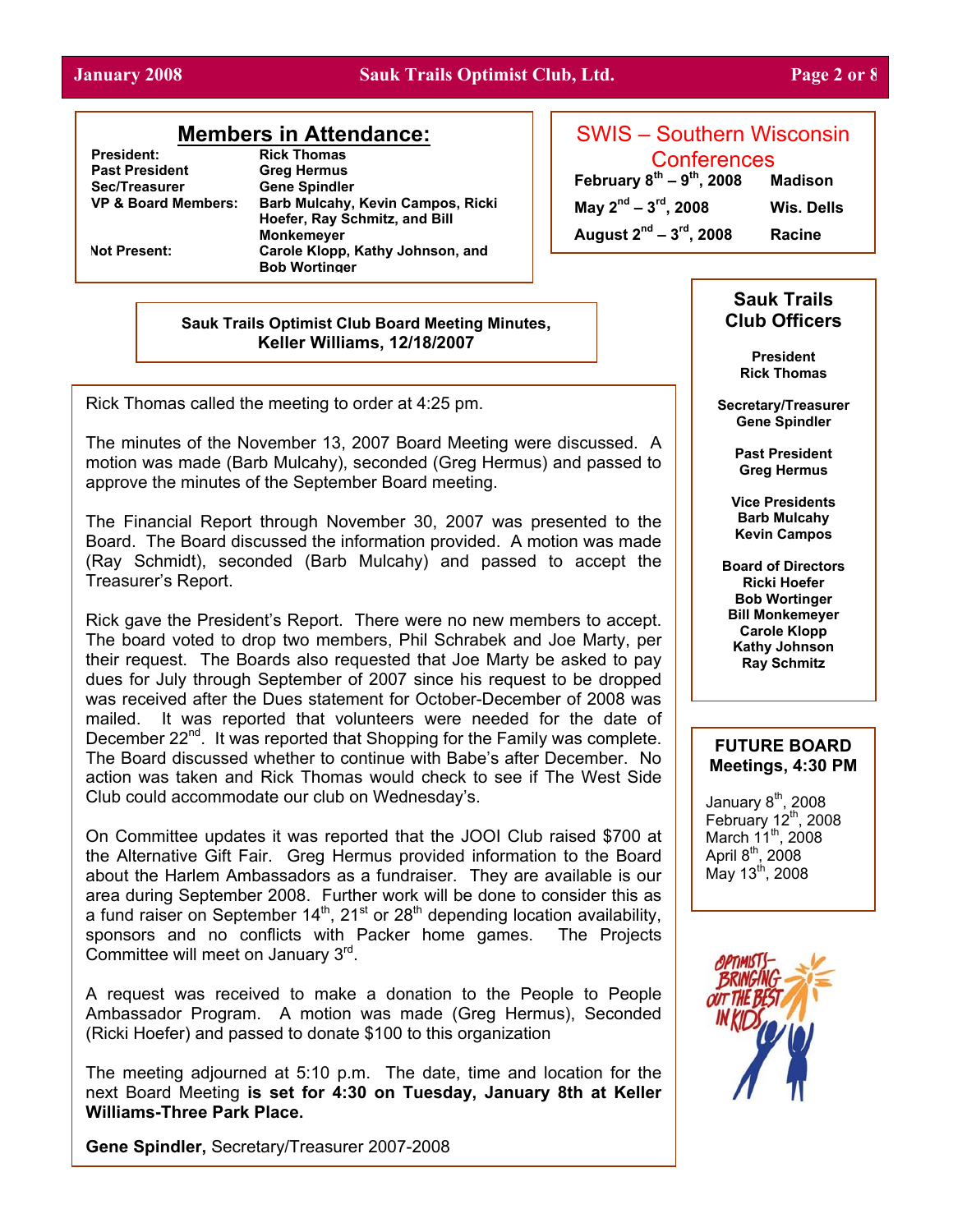#### **January 2008 Sauk Trails Optimist Club, Ltd. Page 2 or 8**

## **Members in Attendance:**

**President:** Rick Thomas<br> **Past President** Greg Hermus **Past President Sec/Treasurer Gene Spindler** 

**VP & Board Members: Barb Mulcahy, Kevin Campos, Ricki Hoefer, Ray Schmitz, and Bill Monkemeyer Not Present: Carole Klopp, Kathy Johnson, and Bob Wortinger** 

SWIS – Southern Wisconsin Conferences

**February 8th – 9th, 2008 Madison May 2nd – 3rd, 2008 Wis. Dells** 

**August 2nd – 3rd, 2008 Racine** 

**Sauk Trails Optimist Club Board Meeting Minutes, Keller Williams, 12/18/2007** 

Rick Thomas called the meeting to order at 4:25 pm.

The minutes of the November 13, 2007 Board Meeting were discussed. A motion was made (Barb Mulcahy), seconded (Greg Hermus) and passed to approve the minutes of the September Board meeting.

The Financial Report through November 30, 2007 was presented to the Board. The Board discussed the information provided. A motion was made (Ray Schmidt), seconded (Barb Mulcahy) and passed to accept the Treasurer's Report.

Rick gave the President's Report. There were no new members to accept. The board voted to drop two members, Phil Schrabek and Joe Marty, per their request. The Boards also requested that Joe Marty be asked to pay dues for July through September of 2007 since his request to be dropped was received after the Dues statement for October-December of 2008 was mailed. It was reported that volunteers were needed for the date of December 22<sup>nd</sup>. It was reported that Shopping for the Family was complete. The Board discussed whether to continue with Babe's after December. No action was taken and Rick Thomas would check to see if The West Side Club could accommodate our club on Wednesday's.

On Committee updates it was reported that the JOOI Club raised \$700 at the Alternative Gift Fair. Greg Hermus provided information to the Board about the Harlem Ambassadors as a fundraiser. They are available is our area during September 2008. Further work will be done to consider this as a fund raiser on September  $14<sup>th</sup>$ , 21<sup>st</sup> or 28<sup>th</sup> depending location availability, sponsors and no conflicts with Packer home games. The Projects Committee will meet on January 3rd.

A request was received to make a donation to the People to People Ambassador Program. A motion was made (Greg Hermus), Seconded (Ricki Hoefer) and passed to donate \$100 to this organization

The meeting adjourned at 5:10 p.m. The date, time and location for the next Board Meeting **is set for 4:30 on Tuesday, January 8th at Keller Williams-Three Park Place.** 

**Gene Spindler,** Secretary/Treasurer 2007-2008

#### **Sauk Trails Club Officers**

**President Rick Thomas**

**Secretary/Treasurer Gene Spindler** 

> **Past President Greg Hermus**

**Vice Presidents Barb Mulcahy Kevin Campos**

**Board of Directors Ricki Hoefer Bob Wortinger Bill Monkemeyer Carole Klopp Kathy Johnson Ray Schmitz** 

#### **FUTURE BOARD Meetings, 4:30 PM**

January 8<sup>th</sup>, 2008 February  $12<sup>th</sup>$ , 2008 March  $11^{th}$ , 2008 April 8<sup>th</sup>, 2008  $M$ ay 13<sup>th</sup>, 2008

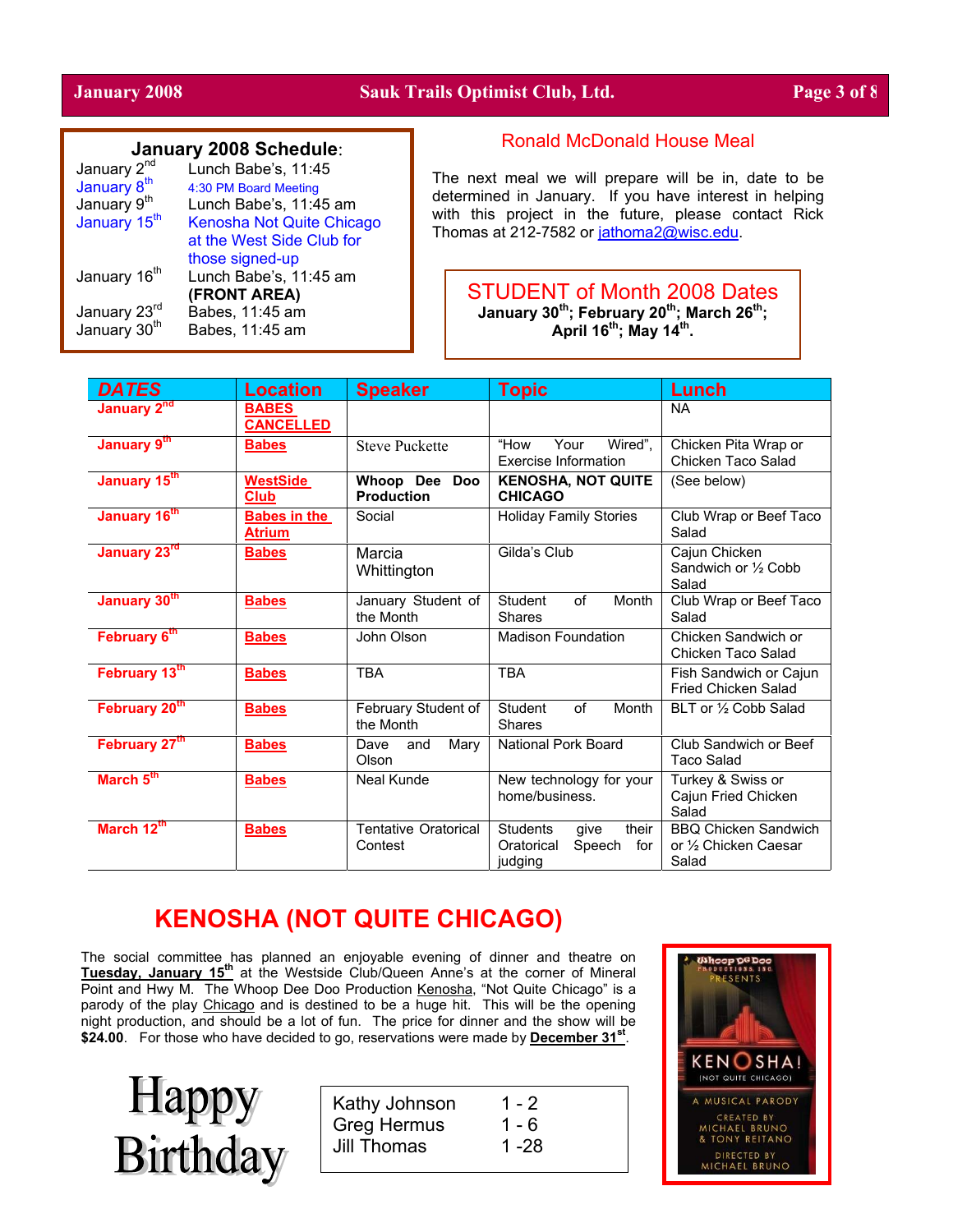#### **January 2008 Sauk Trails Optimist Club, Ltd. Page 3 of 8**

#### **January 2008 Schedule**:

| January 2 <sup>nd</sup>  | Lunch Babe's, 11:45       |
|--------------------------|---------------------------|
| January 8 <sup>th</sup>  | 4:30 PM Board Meeting     |
| January 9 <sup>th</sup>  | Lunch Babe's, 11:45 am    |
| January 15 <sup>th</sup> | Kenosha Not Quite Chicago |
|                          | at the West Side Club for |
|                          | those signed-up           |
| January 16 <sup>th</sup> | Lunch Babe's, 11:45 am    |
|                          | (FRONT AREA)              |
| January 23rd             | Babes, 11:45 am           |
| January 30 <sup>th</sup> | Babes, 11:45 am           |
|                          |                           |

#### Ronald McDonald House Meal

The next meal we will prepare will be in, date to be determined in January. If you have interest in helping with this project in the future, please contact Rick Thomas at 212-7582 or [jathoma2@wisc.edu.](mailto:jathoma2@wisc.edu)

STUDENT of Month 2008 Dates **January 30th; February 20th; March 26th; April 16th; May 14th.** 

| <b>DATES</b>             | <b>Location</b>                      | <b>Speaker</b>                                                                              | <b>Topic</b>                                                               | Lunch                                                         |
|--------------------------|--------------------------------------|---------------------------------------------------------------------------------------------|----------------------------------------------------------------------------|---------------------------------------------------------------|
| January 2 <sup>nd</sup>  | <b>BABES</b><br><b>CANCELLED</b>     |                                                                                             |                                                                            | <b>NA</b>                                                     |
| January 9th              | <b>Babes</b>                         | <b>Steve Puckette</b>                                                                       | "How<br>Your<br>Wired".<br><b>Exercise Information</b>                     | Chicken Pita Wrap or<br>Chicken Taco Salad                    |
| January 15th             | <b>WestSide</b><br>Club              | Whoop Dee<br><b>Doo</b><br><b>KENOSHA, NOT QUITE</b><br><b>Production</b><br><b>CHICAGO</b> |                                                                            | (See below)                                                   |
| January 16 <sup>th</sup> | <b>Babes in the</b><br><b>Atrium</b> | Social                                                                                      | <b>Holiday Family Stories</b>                                              | Club Wrap or Beef Taco<br>Salad                               |
| January 23rd             | <b>Babes</b>                         | Marcia<br>Whittington                                                                       | Gilda's Club                                                               | Cajun Chicken<br>Sandwich or 1/2 Cobb<br>Salad                |
| January 30th             | <b>Babes</b>                         | January Student of<br>the Month                                                             | of<br>Month<br>Student<br><b>Shares</b>                                    | Club Wrap or Beef Taco<br>Salad                               |
| February 6th             | <b>Babes</b>                         | John Olson                                                                                  | <b>Madison Foundation</b>                                                  | Chicken Sandwich or<br>Chicken Taco Salad                     |
| February 13th            | <b>Babes</b>                         | <b>TBA</b>                                                                                  | <b>TBA</b>                                                                 | Fish Sandwich or Cajun<br>Fried Chicken Salad                 |
| February 20th            | <b>Babes</b>                         | February Student of<br>the Month                                                            | of<br>Student<br>Month<br><b>Shares</b>                                    | BLT or 1/2 Cobb Salad                                         |
| February 27th            | <b>Babes</b>                         | Mary<br>Dave<br>and<br>Olson                                                                | National Pork Board                                                        | Club Sandwich or Beef<br><b>Taco Salad</b>                    |
| March 5th                | <b>Babes</b>                         | Neal Kunde                                                                                  | New technology for your<br>home/business.                                  | Turkey & Swiss or<br>Cajun Fried Chicken<br>Salad             |
| March 12th               | <b>Babes</b>                         | <b>Tentative Oratorical</b><br>Contest                                                      | <b>Students</b><br>their<br>qive<br>Speech<br>Oratorical<br>for<br>judging | <b>BBO Chicken Sandwich</b><br>or 1/2 Chicken Caesar<br>Salad |

# **KENOSHA (NOT QUITE CHICAGO)**

The social committee has planned an enjoyable evening of dinner and theatre on **Tuesday, January 15th** at the Westside Club/Queen Anne's at the corner of Mineral Point and Hwy M. The Whoop Dee Doo Production Kenosha, "Not Quite Chicago" is a parody of the play Chicago and is destined to be a huge hit. This will be the opening night production, and should be a lot of fun. The price for dinner and the show will be \$24.00. For those who have decided to go, reservations were made by December 31<sup>st</sup>.



| Kathy Johnson      | 1 - 2   |
|--------------------|---------|
| <b>Greg Hermus</b> | $1 - 6$ |
| Jill Thomas        | 1 -28   |
|                    |         |

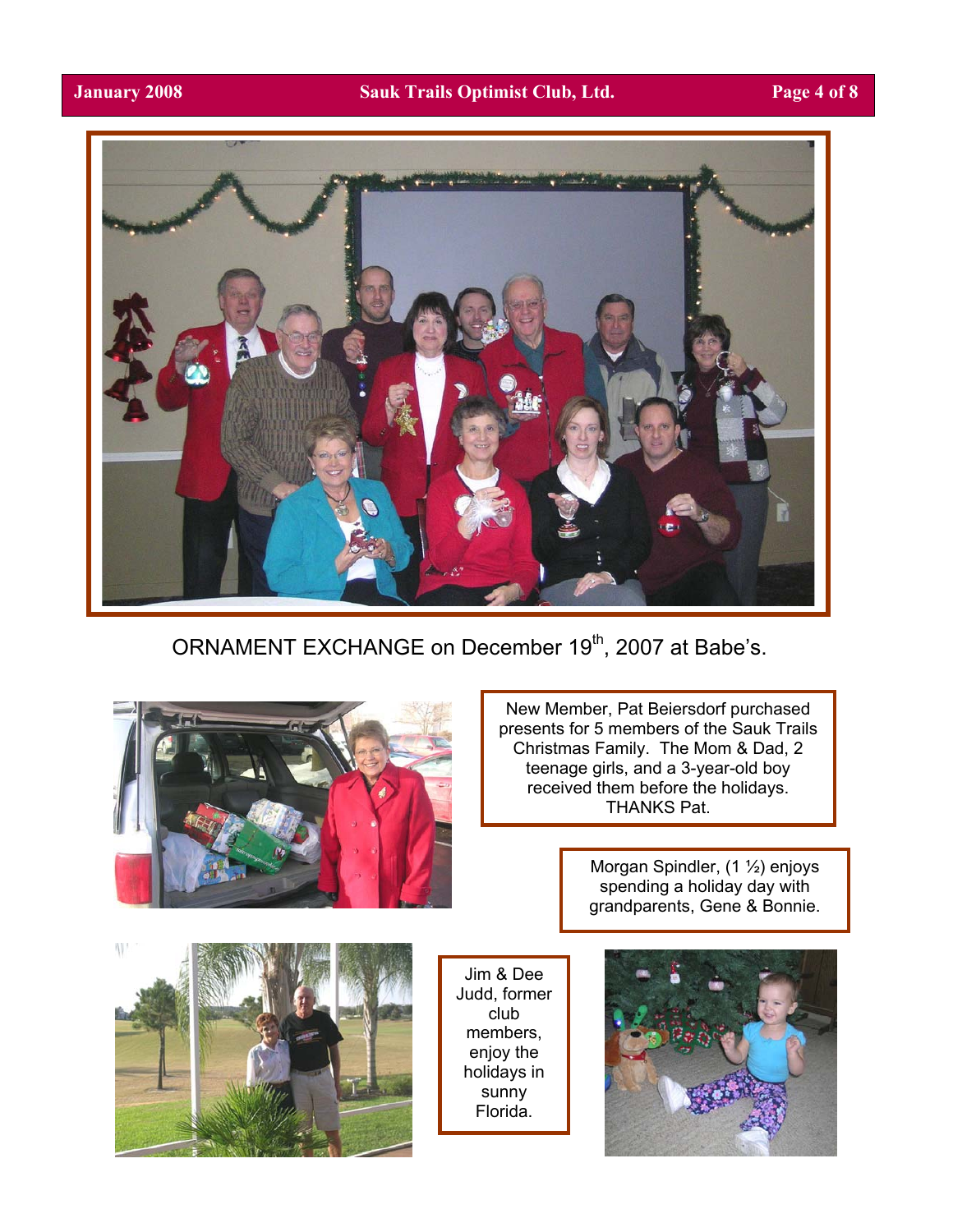

ORNAMENT EXCHANGE on December 19<sup>th</sup>, 2007 at Babe's.



New Member, Pat Beiersdorf purchased presents for 5 members of the Sauk Trails Christmas Family. The Mom & Dad, 2 teenage girls, and a 3-year-old boy received them before the holidays. THANKS Pat.

> Morgan Spindler, (1 ½) enjoys spending a holiday day with grandparents, Gene & Bonnie.

W.



Jim & Dee Judd, former club members, enjoy the holidays in sunny Florida.

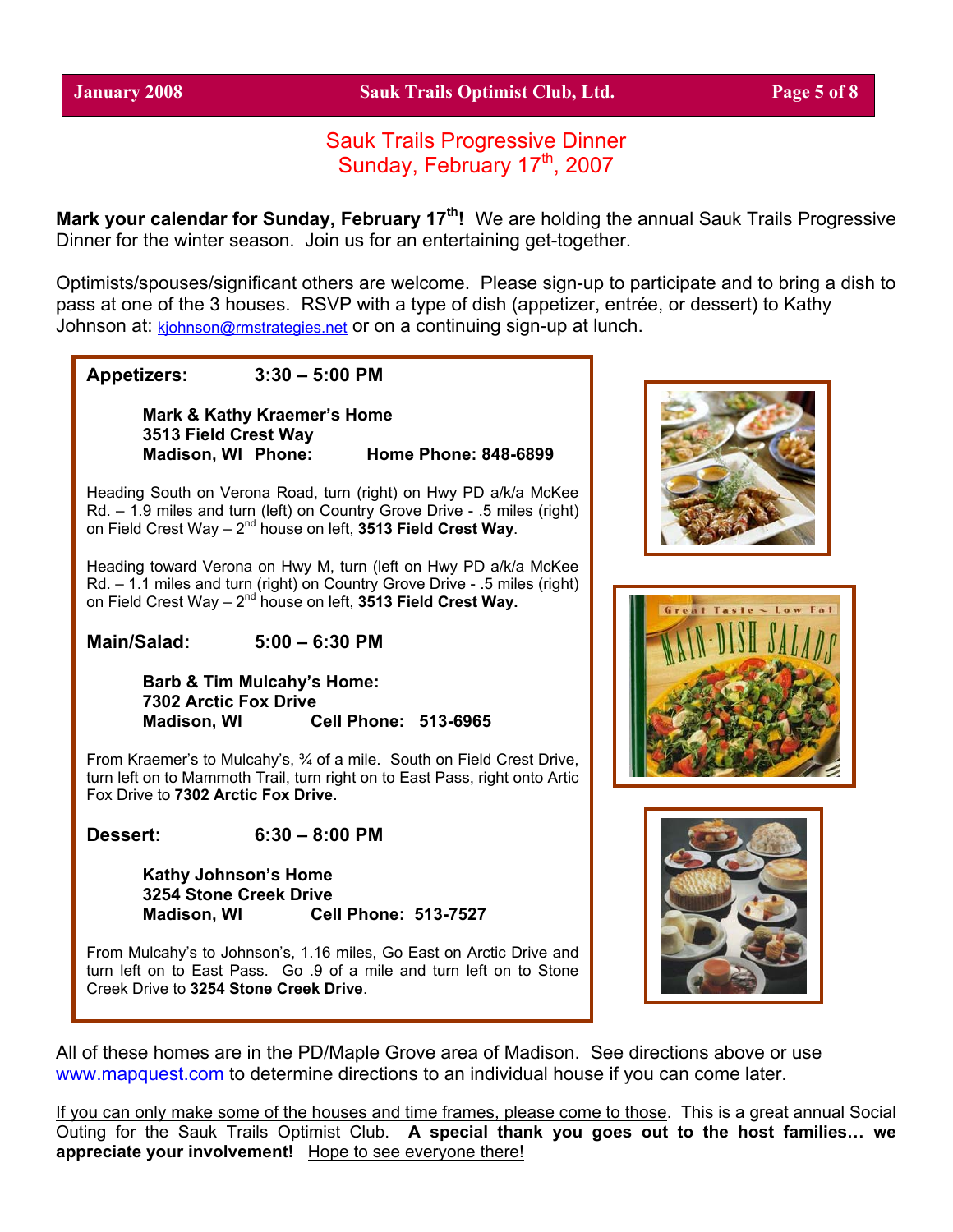## Sauk Trails Progressive Dinner Sunday, February 17<sup>th</sup>, 2007

Mark your calendar for Sunday, February 17<sup>th</sup>! We are holding the annual Sauk Trails Progressive Dinner for the winter season. Join us for an entertaining get-together.

Optimists/spouses/significant others are welcome. Please sign-up to participate and to bring a dish to pass at one of the 3 houses. RSVP with a type of dish (appetizer, entrée, or dessert) to Kathy Johnson at: [kjohnson@rmstrategies.net](mailto:kjohnson@rmstrategies.net) or on a continuing sign-up at lunch.

**Appetizers: 3:30 – 5:00 PM** 

**Mark & Kathy Kraemer's Home 3513 Field Crest Way Madison, WI Phone: Home Phone: 848-6899** 

Heading South on Verona Road, turn (right) on Hwy PD a/k/a McKee Rd. – 1.9 miles and turn (left) on Country Grove Drive - .5 miles (right) on Field Crest Way - 2<sup>nd</sup> house on left, 3513 Field Crest Way.

Heading toward Verona on Hwy M, turn (left on Hwy PD a/k/a McKee Rd. – 1.1 miles and turn (right) on Country Grove Drive - .5 miles (right) on Field Crest Way – 2nd house on left, **3513 Field Crest Way.**

**Main/Salad: 5:00 – 6:30 PM** 

**Barb & Tim Mulcahy's Home: 7302 Arctic Fox Drive Madison, WI Cell Phone: 513-6965**

From Kraemer's to Mulcahy's, ¾ of a mile. South on Field Crest Drive, turn left on to Mammoth Trail, turn right on to East Pass, right onto Artic Fox Drive to **7302 Arctic Fox Drive.** 

**Dessert: 6:30 – 8:00 PM** 

**Kathy Johnson's Home 3254 Stone Creek Drive Madison, WI Cell Phone: 513-7527** 

From Mulcahy's to Johnson's, 1.16 miles, Go East on Arctic Drive and turn left on to East Pass. Go .9 of a mile and turn left on to Stone Creek Drive to **3254 Stone Creek Drive**.







All of these homes are in the PD/Maple Grove area of Madison. See directions above or use [www.mapquest.com](http://www.mapquest.com/) to determine directions to an individual house if you can come later.

If you can only make some of the houses and time frames, please come to those. This is a great annual Social Outing for the Sauk Trails Optimist Club. **A special thank you goes out to the host families… we appreciate your involvement!** Hope to see everyone there!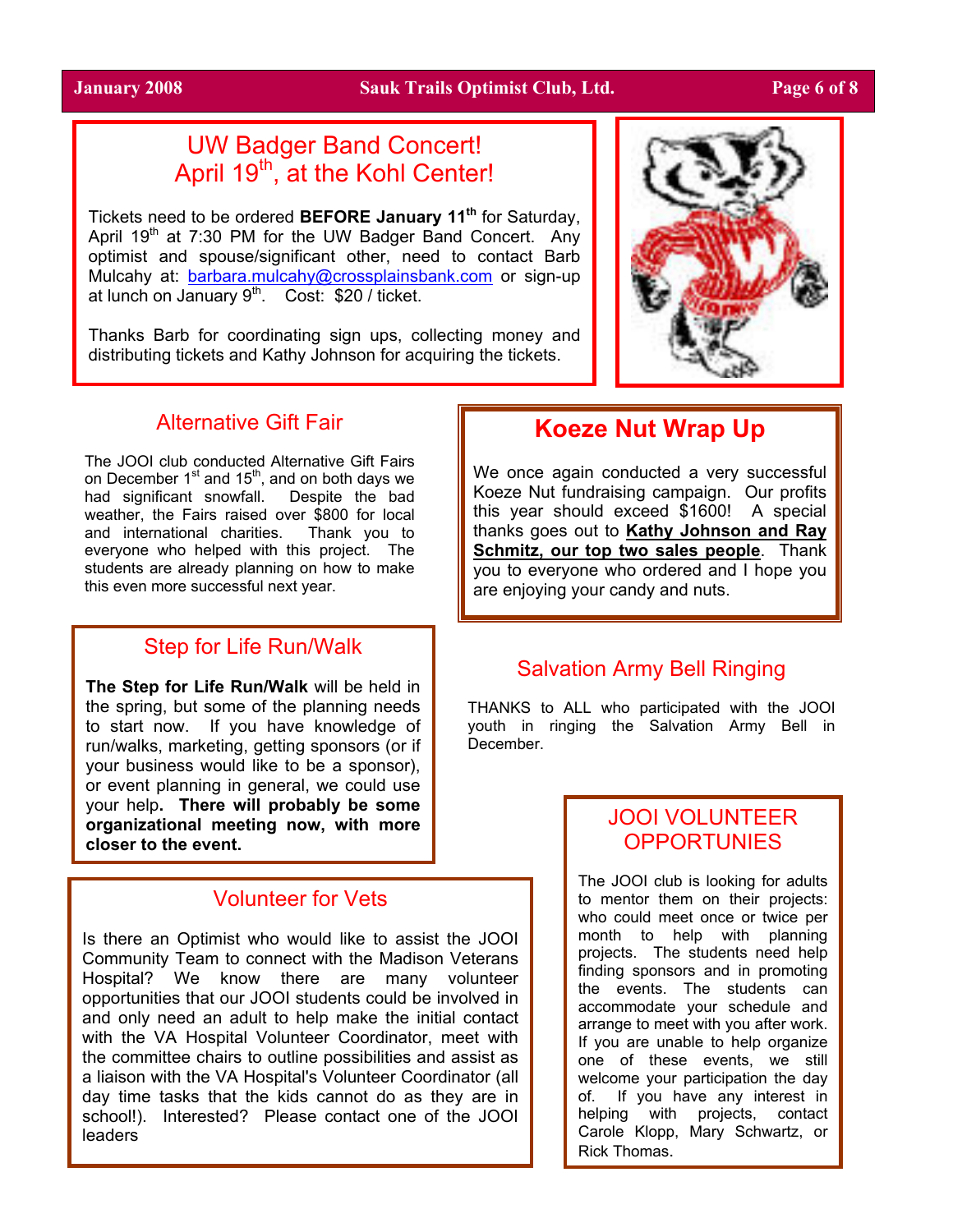#### **January 2008 Sauk Trails Optimist Club, Ltd. Page 6 of 8**

# UW Badger Band Concert! April 19<sup>th</sup>, at the Kohl Center!

Tickets need to be ordered **BEFORE January 11th** for Saturday, April 19<sup>th</sup> at 7:30 PM for the UW Badger Band Concert. Any optimist and spouse/significant other, need to contact Barb Mulcahy at: [barbara.mulcahy@crossplainsbank.com](mailto:barbara.mulcahy@crossplainsbank.com) or sign-up at lunch on January  $9<sup>th</sup>$ . Cost: \$20 / ticket.

Thanks Barb for coordinating sign ups, collecting money and distributing tickets and Kathy Johnson for acquiring the tickets.



# Alternative Gift Fair

The JOOI club conducted Alternative Gift Fairs on December  $1<sup>st</sup>$  and  $15<sup>th</sup>$ , and on both days we had significant snowfall. Despite the bad weather, the Fairs raised over \$800 for local and international charities. Thank you to everyone who helped with this project. The students are already planning on how to make this even more successful next year.

## Step for Life Run/Walk

**The Step for Life Run/Walk** will be held in the spring, but some of the planning needs to start now. If you have knowledge of run/walks, marketing, getting sponsors (or if your business would like to be a sponsor), or event planning in general, we could use your help**. There will probably be some organizational meeting now, with more closer to the event.** 

# Volunteer for Vets

Is there an Optimist who would like to assist the JOOI Community Team to connect with the Madison Veterans Hospital? We know there are many volunteer opportunities that our JOOI students could be involved in and only need an adult to help make the initial contact with the VA Hospital Volunteer Coordinator, meet with the committee chairs to outline possibilities and assist as a liaison with the VA Hospital's Volunteer Coordinator (all day time tasks that the kids cannot do as they are in school!). Interested? Please contact one of the JOOI leaders

# **Koeze Nut Wrap Up**

We once again conducted a very successful Koeze Nut fundraising campaign. Our profits this year should exceed \$1600! A special thanks goes out to **Kathy Johnson and Ray Schmitz, our top two sales people**. Thank you to everyone who ordered and I hope you are enjoying your candy and nuts.

# Salvation Army Bell Ringing

THANKS to ALL who participated with the JOOI youth in ringing the Salvation Army Bell in December.

# JOOI VOLUNTEER **OPPORTUNIES**

The JOOI club is looking for adults to mentor them on their projects: who could meet once or twice per month to help with planning projects. The students need help finding sponsors and in promoting the events. The students can accommodate your schedule and arrange to meet with you after work. If you are unable to help organize one of these events, we still welcome your participation the day of. If you have any interest in helping with projects, contact Carole Klopp, Mary Schwartz, or Rick Thomas.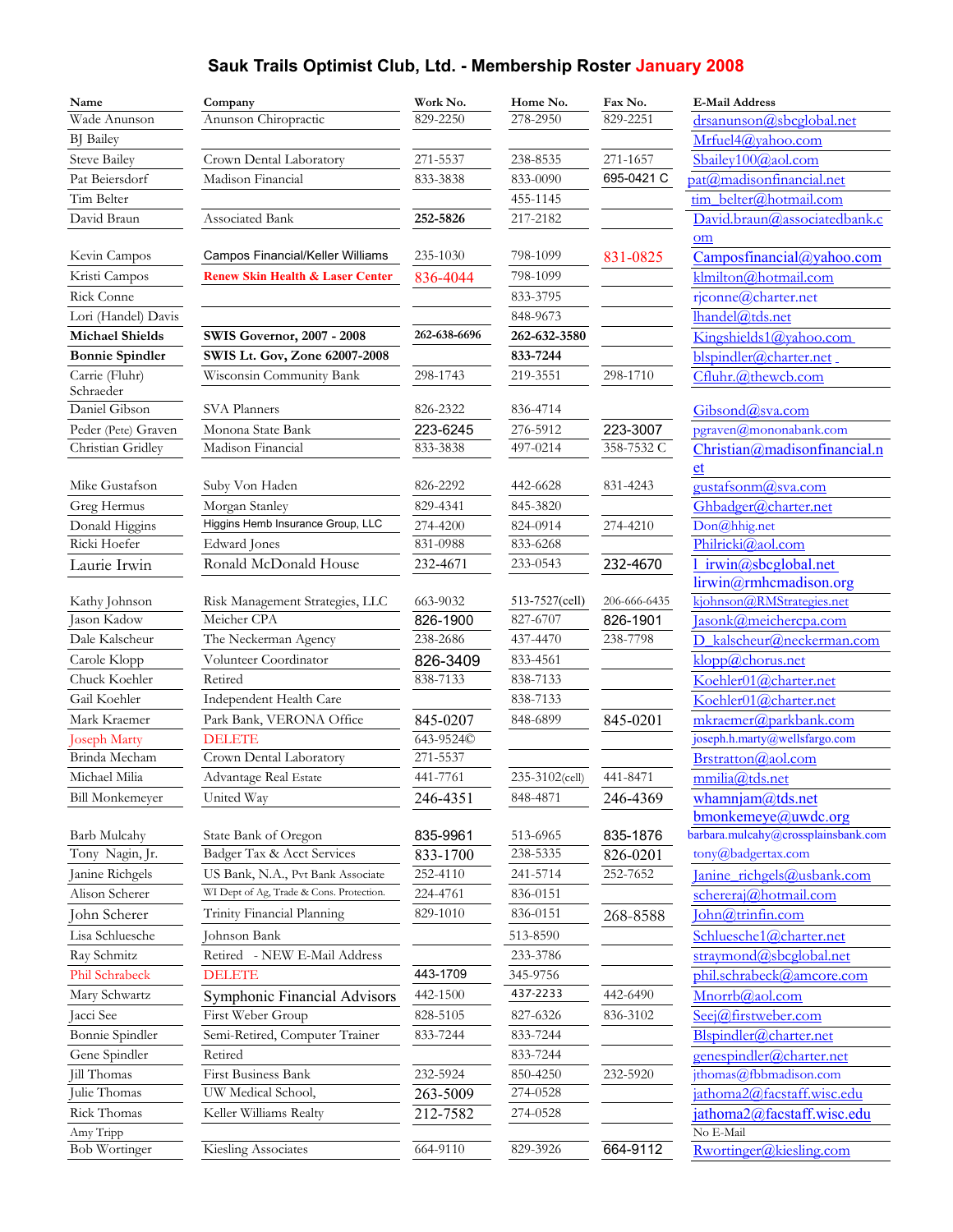# **Sauk Trails Optimist Club, Ltd. - Membership Roster January 2008**

| Name                         | Company                                        | Work No.             | Home No.                   | Fax No.                  | <b>E-Mail Address</b>                               |
|------------------------------|------------------------------------------------|----------------------|----------------------------|--------------------------|-----------------------------------------------------|
| Wade Anunson                 | Anunson Chiropractic                           | 829-2250             | 278-2950                   | 829-2251                 | drsanunson@sbcglobal.net                            |
| <b>BJ</b> Bailey             |                                                |                      |                            |                          | Mrfuel4@yahoo.com                                   |
| <b>Steve Bailey</b>          | Crown Dental Laboratory                        | 271-5537             | 238-8535                   | 271-1657                 | Sbailey100@aol.com                                  |
| Pat Beiersdorf               | Madison Financial                              | 833-3838             | 833-0090                   | 695-0421 C               | pat@madisonfinancial.net                            |
| Tim Belter                   |                                                |                      | 455-1145                   |                          | tim belter@hotmail.com                              |
| David Braun                  | Associated Bank                                | 252-5826             | 217-2182                   |                          | David.braun@associatedbank.c                        |
|                              |                                                |                      |                            |                          | <sub>om</sub>                                       |
| Kevin Campos                 | Campos Financial/Keller Williams               | 235-1030             | 798-1099                   | 831-0825                 | Camposfinancial@yahoo.com                           |
| Kristi Campos                | <b>Renew Skin Health &amp; Laser Center</b>    | 836-4044             | 798-1099                   |                          | klmilton@hotmail.com                                |
| Rick Conne                   |                                                |                      | 833-3795                   |                          | rjconne@charter.net                                 |
| Lori (Handel) Davis          |                                                |                      | 848-9673                   |                          | lhandel@tds.net                                     |
| <b>Michael Shields</b>       | <b>SWIS Governor, 2007 - 2008</b>              | 262-638-6696         | 262-632-3580               |                          | Kingshields1@yahoo.com                              |
| <b>Bonnie Spindler</b>       | SWIS Lt. Gov, Zone 62007-2008                  |                      | 833-7244                   |                          | blspindler@charter.net                              |
| Carrie (Fluhr)<br>Schraeder  | Wisconsin Community Bank                       | 298-1743             | 219-3551                   | 298-1710                 | Cfluhr.@thewcb.com                                  |
| Daniel Gibson                | SVA Planners                                   | 826-2322             | 836-4714                   |                          | Gibsond@sva.com                                     |
| Peder (Pete) Graven          | Monona State Bank                              | 223-6245             | 276-5912                   | 223-3007                 | pgraven@mononabank.com                              |
| Christian Gridley            | Madison Financial                              | 833-3838             | 497-0214                   | 358-7532 C               | Christian@madisonfinancial.n                        |
|                              |                                                |                      |                            |                          | et                                                  |
| Mike Gustafson               | Suby Von Haden                                 | 826-2292             | 442-6628                   | 831-4243                 | gustafsonm@sva.com                                  |
| Greg Hermus                  | Morgan Stanley                                 | 829-4341             | 845-3820                   |                          | Ghbadger@charter.net                                |
| Donald Higgins               | Higgins Hemb Insurance Group, LLC              | 274-4200             | 824-0914                   | 274-4210                 | Don@hhig.net                                        |
| Ricki Hoefer                 | <b>Edward</b> Jones                            | 831-0988             | 833-6268                   |                          | Philricki@aol.com                                   |
| Laurie Irwin                 | Ronald McDonald House                          | 232-4671             | 233-0543                   | 232-4670                 | irwin@sbcglobal.net                                 |
|                              |                                                |                      |                            |                          | lirwin@rmhcmadison.org<br>kjohnson@RMStrategies.net |
| Kathy Johnson<br>Jason Kadow | Risk Management Strategies, LLC<br>Meicher CPA | 663-9032<br>826-1900 | 513-7527(cell)<br>827-6707 | 206-666-6435<br>826-1901 | Jasonk@meichercpa.com                               |
| Dale Kalscheur               | The Neckerman Agency                           | 238-2686             | 437-4470                   | 238-7798                 | D kalscheur@neckerman.com                           |
| Carole Klopp                 | Volunteer Coordinator                          | 826-3409             | 833-4561                   |                          | klopp@chorus.net                                    |
| Chuck Koehler                | Retired                                        | 838-7133             | 838-7133                   |                          | Koehler01@charter.net                               |
| Gail Koehler                 | Independent Health Care                        |                      | 838-7133                   |                          | Koehler01@charter.net                               |
| Mark Kraemer                 | Park Bank, VERONA Office                       | 845-0207             | 848-6899                   | 845-0201                 | mkraemer@parkbank.com                               |
| <b>Joseph Marty</b>          | <b>DELETE</b>                                  | 643-9524©            |                            |                          | joseph.h.marty@wellsfargo.com                       |
| Brinda Mecham                | Crown Dental Laboratory                        | 271-5537             |                            |                          | Brstratton@aol.com                                  |
| Michael Milia                | Advantage Real Estate                          | 441-7761             | 235-3102(cell)             | 441-8471                 | mmilia@tds.net                                      |
| <b>Bill Monkemeyer</b>       | United Way                                     | 246-4351             | 848-4871                   | 246-4369                 | whamnjam@tds.net                                    |
|                              |                                                |                      |                            |                          | $b$ monkemeye@uwdc.org                              |
| Barb Mulcahy                 | State Bank of Oregon                           | 835-9961             | 513-6965                   | 835-1876                 | barbara.mulcahy@crossplainsbank.com                 |
| Tony Nagin, Jr.              | Badger Tax & Acct Services                     | 833-1700             | 238-5335                   | 826-0201                 | tony@badgertax.com                                  |
| Janine Richgels              | US Bank, N.A., Pvt Bank Associate              | 252-4110             | 241-5714                   | 252-7652                 | Janine richgels@usbank.com                          |
| Alison Scherer               | WI Dept of Ag, Trade & Cons. Protection.       | 224-4761             | 836-0151                   |                          | schereraj@hotmail.com                               |
| John Scherer                 | Trinity Financial Planning                     | 829-1010             | 836-0151                   | 268-8588                 | John@trinfin.com                                    |
| Lisa Schluesche              | Johnson Bank                                   |                      | 513-8590                   |                          | Schluesche1@charter.net                             |
| Ray Schmitz                  | Retired - NEW E-Mail Address                   |                      | 233-3786                   |                          | straymond@sbcglobal.net                             |
| Phil Schrabeck               | <b>DELETE</b>                                  | 443-1709             | 345-9756                   |                          | phil.schrabeck@amcore.com                           |
| Mary Schwartz                | Symphonic Financial Advisors                   | 442-1500             | 437-2233                   | 442-6490                 | Mnorrb@aol.com                                      |
| Jacci See                    | First Weber Group                              | 828-5105             | 827-6326                   | 836-3102                 | Seej@firstweber.com                                 |
| Bonnie Spindler              | Semi-Retired, Computer Trainer                 | 833-7244             | 833-7244                   |                          | Blspindler@charter.net                              |
| Gene Spindler                | Retired                                        |                      | 833-7244                   |                          | genespindler@charter.net                            |
| Jill Thomas                  | First Business Bank                            | 232-5924             | 850-4250                   | 232-5920                 | jthomas@fbbmadison.com                              |
| Julie Thomas                 | UW Medical School,                             | 263-5009             | 274-0528                   |                          | jathoma2@facstaff.wisc.edu                          |
| Rick Thomas                  | Keller Williams Realty                         | 212-7582             | 274-0528                   |                          | jathoma2@facstaff.wisc.edu                          |
| Amy Tripp                    |                                                |                      |                            |                          | No E-Mail                                           |
| Bob Wortinger                | Kiesling Associates                            | 664-9110             | 829-3926                   | 664-9112                 | Rwortinger@kiesling.com                             |